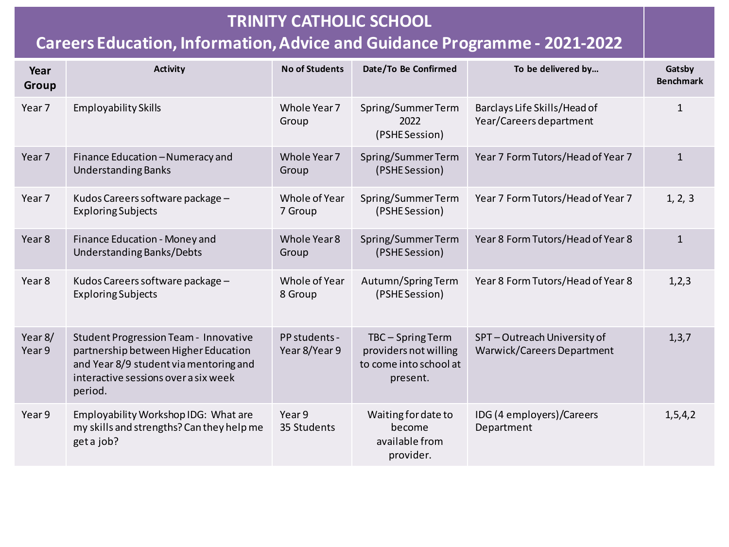| Year<br>Group     | <b>Activity</b>                                                                                                                                                                   | <b>No of Students</b>          | Date/To Be Confirmed                                                           | To be delivered by                                       | Gatsby<br><b>Benchmark</b> |
|-------------------|-----------------------------------------------------------------------------------------------------------------------------------------------------------------------------------|--------------------------------|--------------------------------------------------------------------------------|----------------------------------------------------------|----------------------------|
| Year 7            | <b>Employability Skills</b>                                                                                                                                                       | Whole Year 7<br>Group          | Spring/SummerTerm<br>2022<br>(PSHE Session)                                    | Barclays Life Skills/Head of<br>Year/Careers department  | $\mathbf{1}$               |
| Year 7            | Finance Education - Numeracy and<br><b>Understanding Banks</b>                                                                                                                    | Whole Year 7<br>Group          | Spring/SummerTerm<br>(PSHE Session)                                            | Year 7 Form Tutors/Head of Year 7                        | $\mathbf{1}$               |
| Year 7            | Kudos Careers software package -<br><b>Exploring Subjects</b>                                                                                                                     | Whole of Year<br>7 Group       | Spring/SummerTerm<br>(PSHE Session)                                            | Year 7 Form Tutors/Head of Year 7                        | 1, 2, 3                    |
| Year <sub>8</sub> | Finance Education - Money and<br>Understanding Banks/Debts                                                                                                                        | Whole Year 8<br>Group          | Spring/SummerTerm<br>(PSHE Session)                                            | Year 8 Form Tutors/Head of Year 8                        | $\mathbf{1}$               |
| Year 8            | Kudos Careers software package -<br><b>Exploring Subjects</b>                                                                                                                     | Whole of Year<br>8 Group       | Autumn/Spring Term<br>(PSHE Session)                                           | Year 8 Form Tutors/Head of Year 8                        | 1, 2, 3                    |
| Year 8/<br>Year 9 | <b>Student Progression Team - Innovative</b><br>partnership between Higher Education<br>and Year 8/9 student via mentoring and<br>interactive sessions over a six week<br>period. | PP students -<br>Year 8/Year 9 | TBC-Spring Term<br>providers not willing<br>to come into school at<br>present. | SPT-Outreach University of<br>Warwick/Careers Department | 1, 3, 7                    |
| Year 9            | Employability Workshop IDG: What are<br>my skills and strengths? Can they help me<br>get a job?                                                                                   | Year 9<br>35 Students          | Waiting for date to<br>become<br>available from<br>provider.                   | IDG (4 employers)/Careers<br>Department                  | 1, 5, 4, 2                 |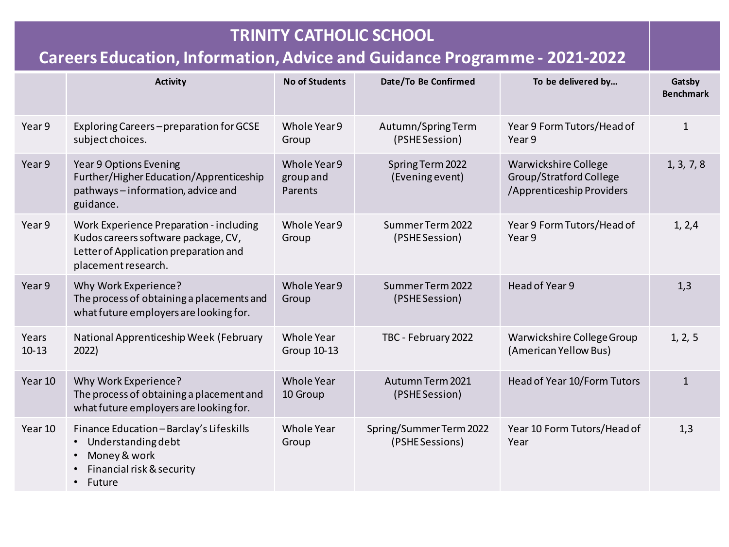#### **TRINITY CATHOLIC SCHOOL Careers Education, Information,Advice and Guidance Programme - 2021-2022 Activity No of Students Date/To Be Confirmed To be delivered by… Gatsby Benchmark** Year 9 Exploring Careers – preparation for GCSE subject choices. Whole Year 9 Group Autumn/Spring Term (PSHE Session) Year 9 Form Tutors/Head of Year 9 1 Year 9 Year 9 Options Evening Further/Higher Education/Apprenticeship pathways – information, advice and guidance. Whole Year 9 group and Parents Spring Term 2022 (Evening event) Warwickshire College Group/Stratford College /Apprenticeship Providers 1, 3, 7, 8 Year 9 Work Experience Preparation - including Kudos careers software package, CV, Letter of Application preparation and placement research. Whole Year 9 Group Summer Term 2022 (PSHE Session) Year 9 Form Tutors/Head of Year 9 1, 2,4 Year 9 Why Work Experience? The process of obtaining a placements and what future employers are looking for. Whole Year 9 Group Summer Term 2022 (PSHE Session) Head of Year 9 1,3 Years 10-13 National Apprenticeship Week (February 2022) Whole Year Group 10-13 TBC - February 2022 Warwickshire College Group (American Yellow Bus) 1, 2, 5 Year 10 Why Work Experience? The process of obtaining a placement and what future employers are looking for. Whole Year 10 Group Autumn Term 2021 (PSHE Session) Head of Year 10/Form Tutors 1 Year 10 Finance Education – Barclay's Lifeskills • Understanding debt • Money & work • Financial risk & security **Future** Whole Year Group Spring/Summer Term 2022 (PSHE Sessions) Year 10 Form Tutors/Head of Year 1,3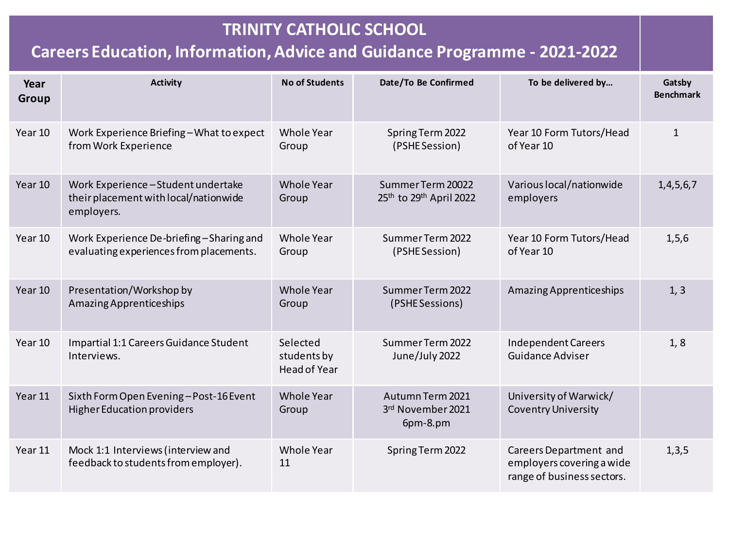| Year<br>Group | <b>Activity</b>                                                                          | <b>No of Students</b>                   | Date/To Be Confirmed                              | To be delivered by                                                                       | Gatsby<br><b>Benchmark</b> |
|---------------|------------------------------------------------------------------------------------------|-----------------------------------------|---------------------------------------------------|------------------------------------------------------------------------------------------|----------------------------|
| Year 10       | Work Experience Briefing-What to expect<br>from Work Experience                          | Whole Year<br>Group                     | Spring Term 2022<br>(PSHE Session)                | Year 10 Form Tutors/Head<br>of Year 10                                                   | $\mathbf{1}$               |
| Year 10       | Work Experience-Student undertake<br>their placement with local/nationwide<br>employers. | Whole Year<br>Group                     | Summer Term 20022<br>25th to 29th April 2022      | Various local/nationwide<br>employers                                                    | 1,4,5,6,7                  |
| Year 10       | Work Experience De-briefing-Sharing and<br>evaluating experiences from placements.       | Whole Year<br>Group                     | Summer Term 2022<br>(PSHE Session)                | Year 10 Form Tutors/Head<br>of Year 10                                                   | 1, 5, 6                    |
| Year 10       | Presentation/Workshop by<br>Amazing Apprenticeships                                      | <b>Whole Year</b><br>Group              | Summer Term 2022<br>(PSHE Sessions)               | Amazing Apprenticeships                                                                  | 1, 3                       |
| Year 10       | Impartial 1:1 Careers Guidance Student<br>Interviews.                                    | Selected<br>students by<br>Head of Year | Summer Term 2022<br>June/July 2022                | <b>Independent Careers</b><br><b>Guidance Adviser</b>                                    | 1, 8                       |
| Year 11       | Sixth Form Open Evening-Post-16 Event<br><b>Higher Education providers</b>               | <b>Whole Year</b><br>Group              | Autumn Term 2021<br>3rd November 2021<br>6pm-8.pm | University of Warwick/<br><b>Coventry University</b>                                     |                            |
| Year 11       | Mock 1:1 Interviews (interview and<br>feedback to students from employer).               | Whole Year<br>11                        | Spring Term 2022                                  | <b>Careers Department and</b><br>employers covering a wide<br>range of business sectors. | 1,3,5                      |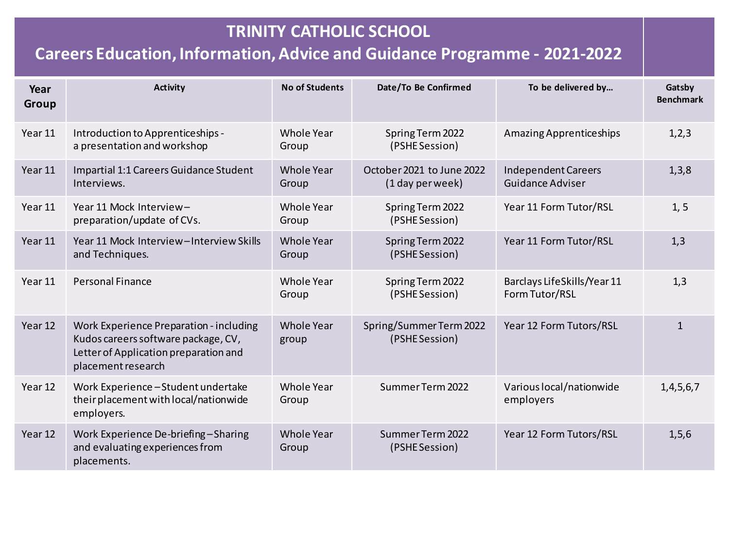| Year<br>Group | <b>Activity</b>                                                                                                                               | <b>No of Students</b>      | Date/To Be Confirmed                          | To be delivered by                             | Gatsby<br><b>Benchmark</b> |
|---------------|-----------------------------------------------------------------------------------------------------------------------------------------------|----------------------------|-----------------------------------------------|------------------------------------------------|----------------------------|
| Year 11       | Introduction to Apprenticeships -<br>a presentation and workshop                                                                              | Whole Year<br>Group        | Spring Term 2022<br>(PSHE Session)            | Amazing Apprenticeships                        | 1, 2, 3                    |
| Year 11       | Impartial 1:1 Careers Guidance Student<br>Interviews.                                                                                         | <b>Whole Year</b><br>Group | October 2021 to June 2022<br>(1 day per week) | <b>Independent Careers</b><br>Guidance Adviser | 1,3,8                      |
| Year 11       | Year 11 Mock Interview-<br>preparation/update of CVs.                                                                                         | <b>Whole Year</b><br>Group | Spring Term 2022<br>(PSHE Session)            | Year 11 Form Tutor/RSL                         | 1, 5                       |
| Year 11       | Year 11 Mock Interview-Interview Skills<br>and Techniques.                                                                                    | <b>Whole Year</b><br>Group | Spring Term 2022<br>(PSHE Session)            | Year 11 Form Tutor/RSL                         | 1,3                        |
| Year 11       | <b>Personal Finance</b>                                                                                                                       | <b>Whole Year</b><br>Group | Spring Term 2022<br>(PSHE Session)            | Barclays LifeSkills/Year 11<br>Form Tutor/RSL  | 1,3                        |
| Year 12       | Work Experience Preparation - including<br>Kudos careers software package, CV,<br>Letter of Application preparation and<br>placement research | <b>Whole Year</b><br>group | Spring/Summer Term 2022<br>(PSHE Session)     | Year 12 Form Tutors/RSL                        | $\mathbf{1}$               |
| Year 12       | Work Experience-Student undertake<br>their placement with local/nationwide<br>employers.                                                      | <b>Whole Year</b><br>Group | Summer Term 2022                              | Various local/nationwide<br>employers          | 1,4,5,6,7                  |
| Year 12       | Work Experience De-briefing-Sharing<br>and evaluating experiences from<br>placements.                                                         | <b>Whole Year</b><br>Group | Summer Term 2022<br>(PSHE Session)            | Year 12 Form Tutors/RSL                        | 1, 5, 6                    |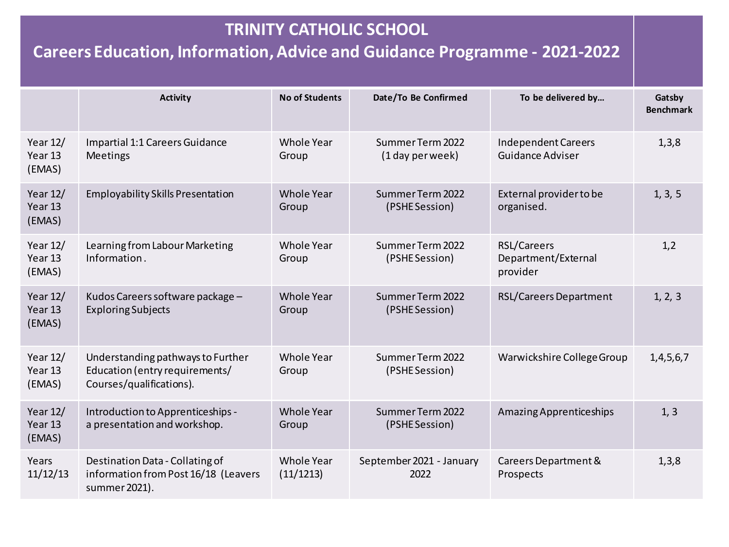|                                 | <b>Activity</b>                                                                                 | <b>No of Students</b>      | Date/To Be Confirmed                 | To be delivered by                                    | Gatsby<br><b>Benchmark</b> |
|---------------------------------|-------------------------------------------------------------------------------------------------|----------------------------|--------------------------------------|-------------------------------------------------------|----------------------------|
| Year $12/$<br>Year 13<br>(EMAS) | Impartial 1:1 Careers Guidance<br>Meetings                                                      | Whole Year<br>Group        | Summer Term 2022<br>(1 day per week) | <b>Independent Careers</b><br><b>Guidance Adviser</b> | 1,3,8                      |
| Year $12/$<br>Year 13<br>(EMAS) | <b>Employability Skills Presentation</b>                                                        | <b>Whole Year</b><br>Group | Summer Term 2022<br>(PSHE Session)   | External provider to be<br>organised.                 | 1, 3, 5                    |
| Year 12/<br>Year 13<br>(EMAS)   | Learning from Labour Marketing<br>Information.                                                  | Whole Year<br>Group        | Summer Term 2022<br>(PSHE Session)   | RSL/Careers<br>Department/External<br>provider        | 1,2                        |
| Year $12/$<br>Year 13<br>(EMAS) | Kudos Careers software package -<br><b>Exploring Subjects</b>                                   | Whole Year<br>Group        | Summer Term 2022<br>(PSHE Session)   | <b>RSL/Careers Department</b>                         | 1, 2, 3                    |
| Year 12/<br>Year 13<br>(EMAS)   | Understanding pathways to Further<br>Education (entry requirements/<br>Courses/qualifications). | Whole Year<br>Group        | Summer Term 2022<br>(PSHE Session)   | Warwickshire College Group                            | 1,4,5,6,7                  |
| Year $12/$<br>Year 13<br>(EMAS) | Introduction to Apprenticeships -<br>a presentation and workshop.                               | Whole Year<br>Group        | Summer Term 2022<br>(PSHE Session)   | Amazing Apprenticeships                               | 1, 3                       |
| Years<br>11/12/13               | Destination Data - Collating of<br>information from Post 16/18 (Leavers<br>summer 2021).        | Whole Year<br>(11/1213)    | September 2021 - January<br>2022     | Careers Department &<br>Prospects                     | 1,3,8                      |